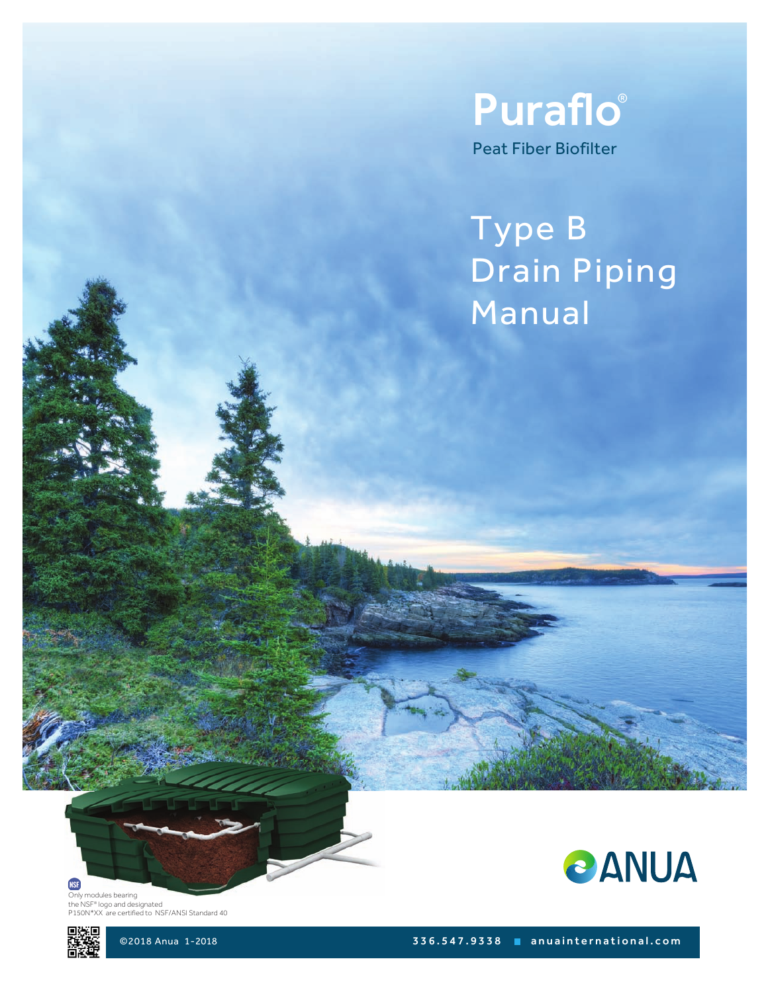**Puraflo**® Peat Fiber Biofilter

Type B Drain Piping Manual





**NSF** Only modules bearing<br>the NSF® logo and designated P150N\*XX are certified to NSF/ANSI Standard 40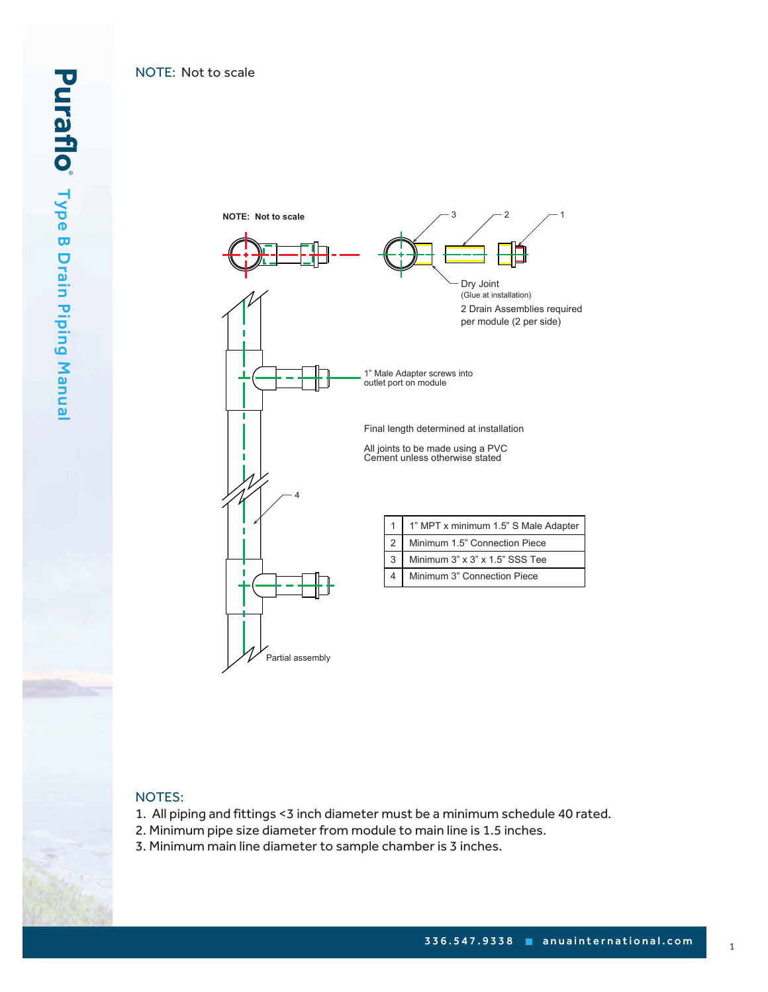## NOTE: Not to scale



## NOTES:

- 1. All piping and fittings <3 inch diameter must be a minimum schedule 40 rated.
- 2. Minimum pipe size diameter from module to main line is 1.5 inches.
- 3. Minimum main line diameter to sample chamber is 3 inches.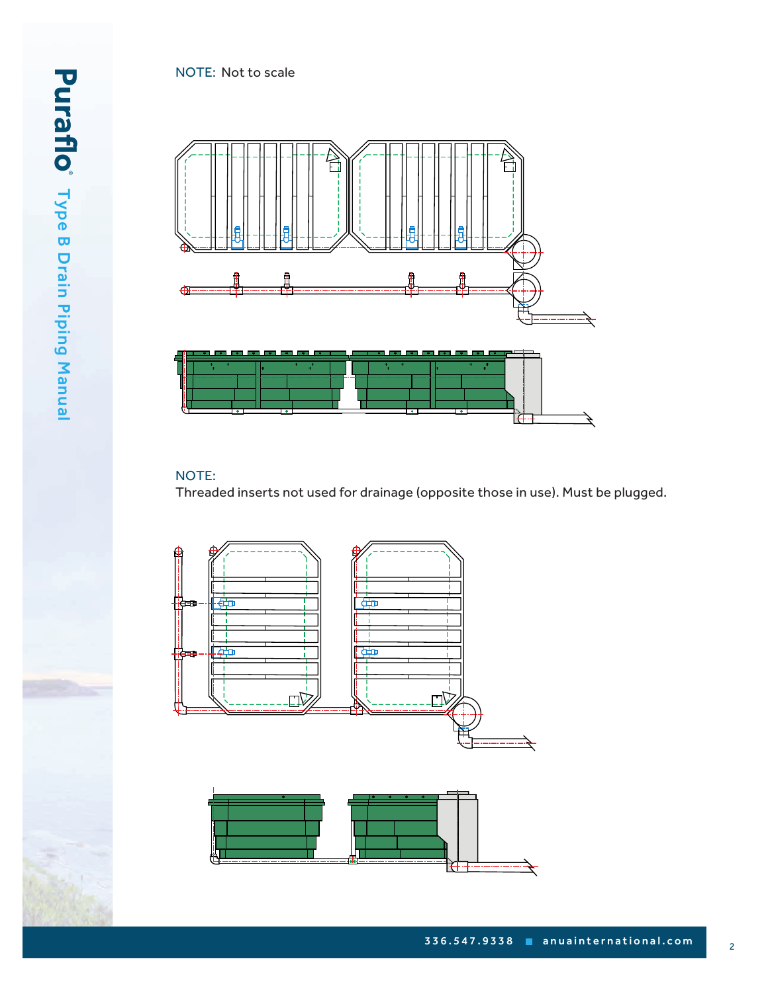

## NOTE:

Threaded inserts not used for drainage (opposite those in use). Must be plugged.